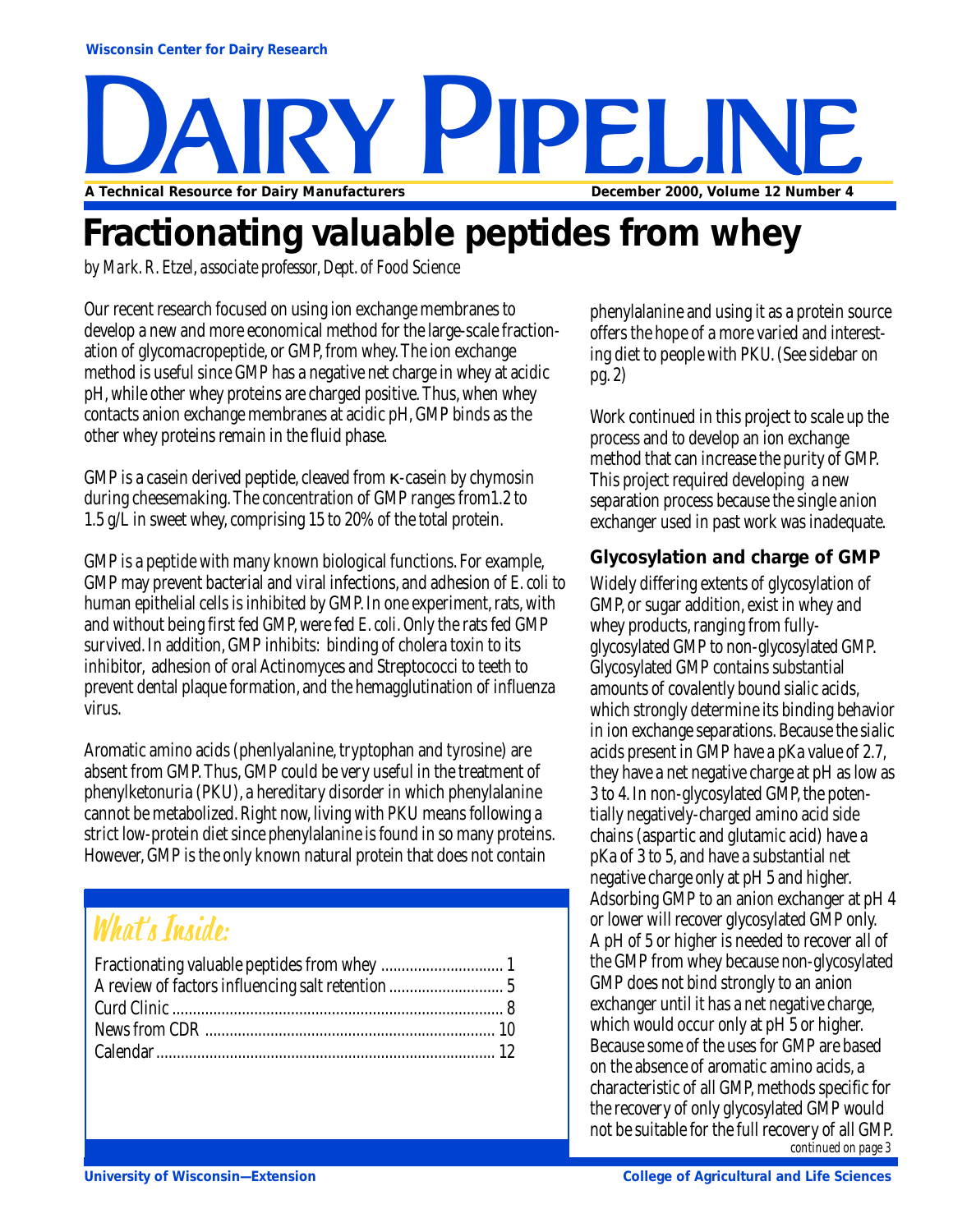# Y PIPELIN **A Technical Resource for Dairy Manufacturers December 2000, Volume 12 Number 4**

# **Fractionating valuable peptides from whey**

*by Mark. R. Etzel, associate professor, Dept. of Food Science*

Our recent research focused on using ion exchange membranes to develop a new and more economical method for the large-scale fractionation of glycomacropeptide, or GMP, from whey. The ion exchange method is useful since GMP has a negative net charge in whey at acidic pH, while other whey proteins are charged positive. Thus, when whey contacts anion exchange membranes at acidic pH, GMP binds as the other whey proteins remain in the fluid phase.

GMP is a casein derived peptide, cleaved from κ-casein by chymosin during cheesemaking. The concentration of GMP ranges from1.2 to 1.5 g/L in sweet whey, comprising 15 to 20% of the total protein.

GMP is a peptide with many known biological functions. For example, GMP may prevent bacterial and viral infections, and adhesion of *E. coli* to human epithelial cells is inhibited by GMP. In one experiment, rats, with and without being first fed GMP, were fed *E. coli*. Only the rats fed GMP survived. In addition, GMP inhibits: binding of cholera toxin to its inhibitor, adhesion of oral Actinomyces and Streptococci to teeth to prevent dental plaque formation, and the hemagglutination of influenza virus.

Aromatic amino acids (phenlyalanine, tryptophan and tyrosine) are absent from GMP. Thus, GMP could be very useful in the treatment of phenylketonuria (PKU), a hereditary disorder in which phenylalanine cannot be metabolized. Right now, living with PKU means following a strict low-protein diet since phenylalanine is found in so many proteins. However, GMP is the only known natural protein that does not contain

### What's Inside:

| A review of factors influencing salt retention  5 |  |
|---------------------------------------------------|--|
|                                                   |  |
|                                                   |  |
|                                                   |  |
|                                                   |  |

phenylalanine and using it as a protein source offers the hope of a more varied and interesting diet to people with PKU. (See sidebar on pg. 2)

Work continued in this project to scale up the process and to develop an ion exchange method that can increase the purity of GMP. This project required developing a new separation process because the single anion exchanger used in past work was inadequate.

#### **Glycosylation and charge of GMP**

Widely differing extents of glycosylation of GMP, or sugar addition, exist in whey and whey products, ranging from fullyglycosylated GMP to non-glycosylated GMP. Glycosylated GMP contains substantial amounts of covalently bound sialic acids, which strongly determine its binding behavior in ion exchange separations. Because the sialic acids present in GMP have a pKa value of 2.7, they have a net negative charge at pH as low as 3 to 4. In non-glycosylated GMP, the potentially negatively-charged amino acid side chains (aspartic and glutamic acid) have a pKa of 3 to 5, and have a substantial net negative charge only at pH 5 and higher. Adsorbing GMP to an anion exchanger at pH 4 or lower will recover glycosylated GMP only. A pH of 5 or higher is needed to recover all of the GMP from whey because non-glycosylated GMP does not bind strongly to an anion exchanger until it has a net negative charge, which would occur only at pH 5 or higher. Because some of the uses for GMP are based on the absence of aromatic amino acids, a characteristic of all GMP, methods specific for the recovery of only glycosylated GMP would not be suitable for the full recovery of all GMP. *continued on page 3*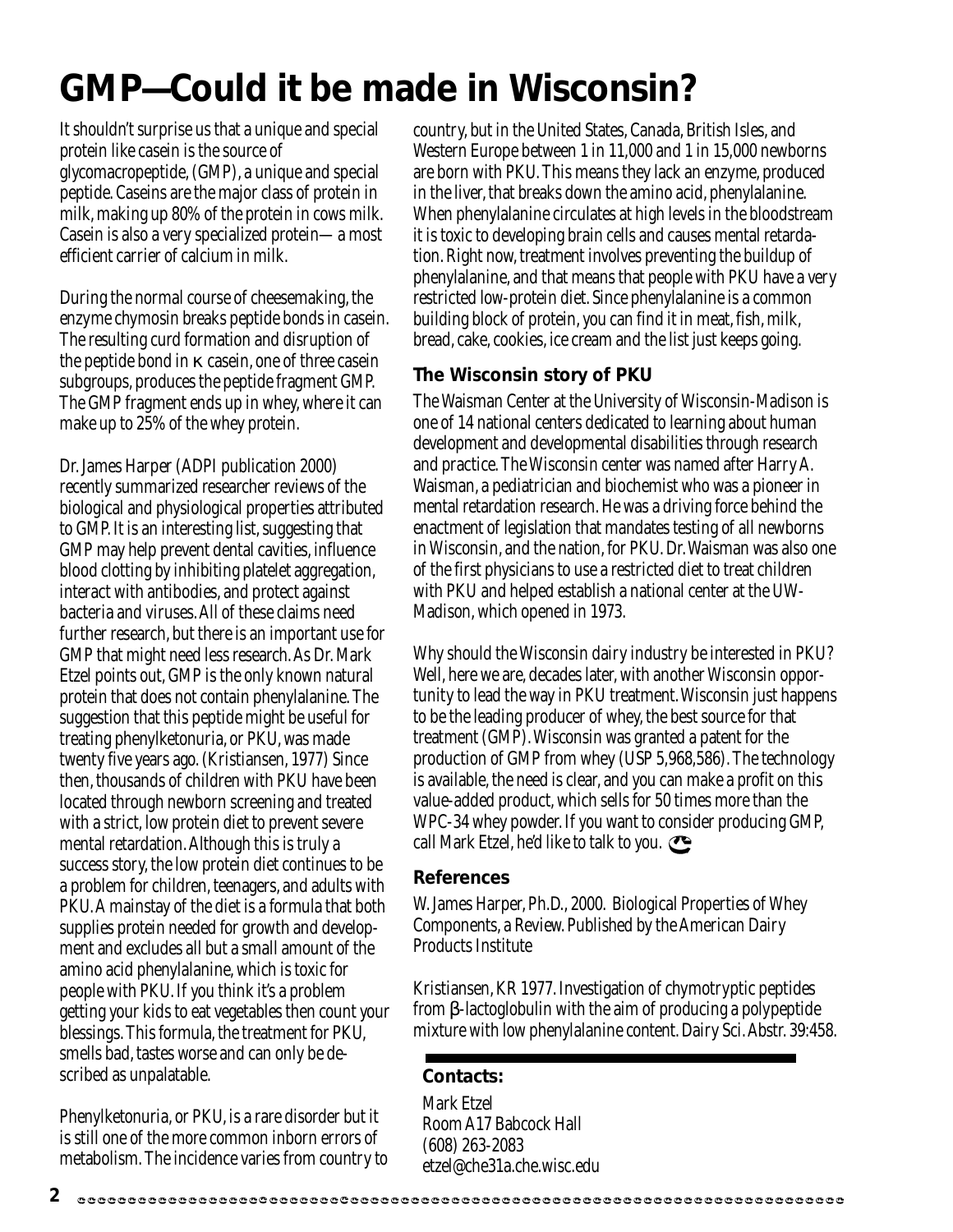# **GMP—Could it be made in Wisconsin?**

It shouldn't surprise us that a unique and special protein like casein is the source of glycomacropeptide, (GMP), a unique and special peptide. Caseins are the major class of protein in milk, making up 80% of the protein in cows milk. Casein is also a very specialized protein—a most efficient carrier of calcium in milk.

During the normal course of cheesemaking, the enzyme chymosin breaks peptide bonds in casein. The resulting curd formation and disruption of the peptide bond in  $\kappa$  casein, one of three casein subgroups, produces the peptide fragment GMP. The GMP fragment ends up in whey, where it can make up to 25% of the whey protein.

Dr. James Harper (ADPI publication 2000) recently summarized researcher reviews of the biological and physiological properties attributed to GMP. It is an interesting list, suggesting that GMP may help prevent dental cavities, influence blood clotting by inhibiting platelet aggregation, interact with antibodies, and protect against bacteria and viruses. All of these claims need further research, but there is an important use for GMP that might need less research. As Dr. Mark Etzel points out, GMP is the only known natural protein that does not contain phenylalanine. The suggestion that this peptide might be useful for treating phenylketonuria, or PKU, was made twenty five years ago. (Kristiansen, 1977) Since then, thousands of children with PKU have been located through newborn screening and treated with a strict, low protein diet to prevent severe mental retardation. Although this is truly a success story, the low protein diet continues to be a problem for children, teenagers, and adults with PKU. A mainstay of the diet is a formula that both supplies protein needed for growth and development and excludes all but a small amount of the amino acid phenylalanine, which is toxic for people with PKU. If you think it's a problem getting your kids to eat vegetables then count your blessings. This formula, the treatment for PKU, smells bad, tastes worse and can only be described as unpalatable.

Phenylketonuria, or PKU, is a rare disorder but it is still one of the more common inborn errors of metabolism. The incidence varies from country to country, but in the United States, Canada, British Isles, and Western Europe between 1 in 11,000 and 1 in 15,000 newborns are born with PKU. This means they lack an enzyme, produced in the liver, that breaks down the amino acid, phenylalanine. When phenylalanine circulates at high levels in the bloodstream it is toxic to developing brain cells and causes mental retardation. Right now, treatment involves preventing the buildup of phenylalanine, and that means that people with PKU have a very restricted low-protein diet. Since phenylalanine is a common building block of protein, you can find it in meat, fish, milk, bread, cake, cookies, ice cream and the list just keeps going.

#### **The Wisconsin story of PKU**

The Waisman Center at the University of Wisconsin-Madison is one of 14 national centers dedicated to learning about human development and developmental disabilities through research and practice. The Wisconsin center was named after Harry A. Waisman, a pediatrician and biochemist who was a pioneer in mental retardation research. He was a driving force behind the enactment of legislation that mandates testing of all newborns in Wisconsin, and the nation, for PKU. Dr. Waisman was also one of the first physicians to use a restricted diet to treat children with PKU and helped establish a national center at the UW-Madison, which opened in 1973.

Why should the Wisconsin dairy industry be interested in PKU? Well, here we are, decades later, with another Wisconsin opportunity to lead the way in PKU treatment. Wisconsin just happens to be the leading producer of whey, the best source for that treatment (GMP). Wisconsin was granted a patent for the production of GMP from whey (USP 5,968,586). The technology is available, the need is clear, and you can make a profit on this value-added product, which sells for 50 times more than the WPC-34 whey powder. If you want to consider producing GMP, call Mark Etzel, he'd like to talk to you.

#### **References**

W. James Harper, Ph.D., 2000. Biological Properties of Whey Components, a Review. Published by the American Dairy Products Institute

Kristiansen, KR 1977. Investigation of chymotryptic peptides from β-lactoglobulin with the aim of producing a polypeptide mixture with low phenylalanine content. Dairy Sci. Abstr. 39:458.

#### **Contacts:**

Mark Etzel Room A17 Babcock Hall (608) 263-2083 etzel@che31a.che.wisc.edu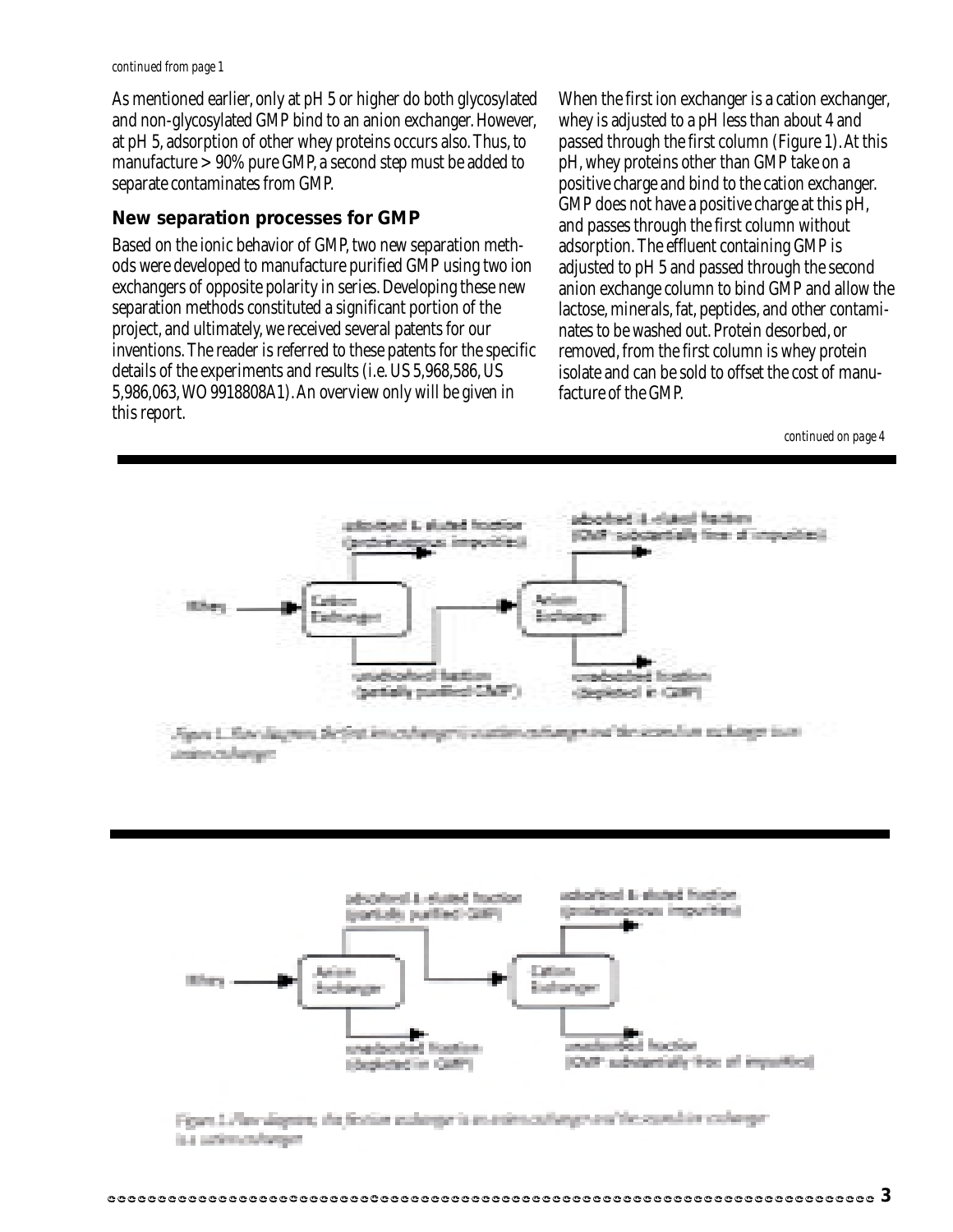#### *continued from page 1*

As mentioned earlier, only at pH 5 or higher do both glycosylated and non-glycosylated GMP bind to an anion exchanger. However, at pH 5, adsorption of other whey proteins occurs also. Thus, to manufacture > 90% pure GMP, a second step must be added to separate contaminates from GMP.

#### **New separation processes for GMP**

Based on the ionic behavior of GMP, two new separation methods were developed to manufacture purified GMP using two ion exchangers of opposite polarity in series. Developing these new separation methods constituted a significant portion of the project, and ultimately, we received several patents for our inventions. The reader is referred to these patents for the specific details of the experiments and results (i.e. US 5,968,586, US 5,986,063, WO 9918808A1). An overview only will be given in this report.

When the first ion exchanger is a cation exchanger, whey is adjusted to a pH less than about 4 and passed through the first column (Figure 1). At this pH, whey proteins other than GMP take on a positive charge and bind to the cation exchanger. GMP does not have a positive charge at this pH, and passes through the first column without adsorption. The effluent containing GMP is adjusted to pH 5 and passed through the second anion exchange column to bind GMP and allow the lactose, minerals, fat, peptides, and other contaminates to be washed out. Protein desorbed, or removed, from the first column is whey protein isolate and can be sold to offset the cost of manufacture of the GMP.

*continued on page 4*





Fean Lilay dignor, the festion redunger's usualment longe and the semility colonger iu utrichage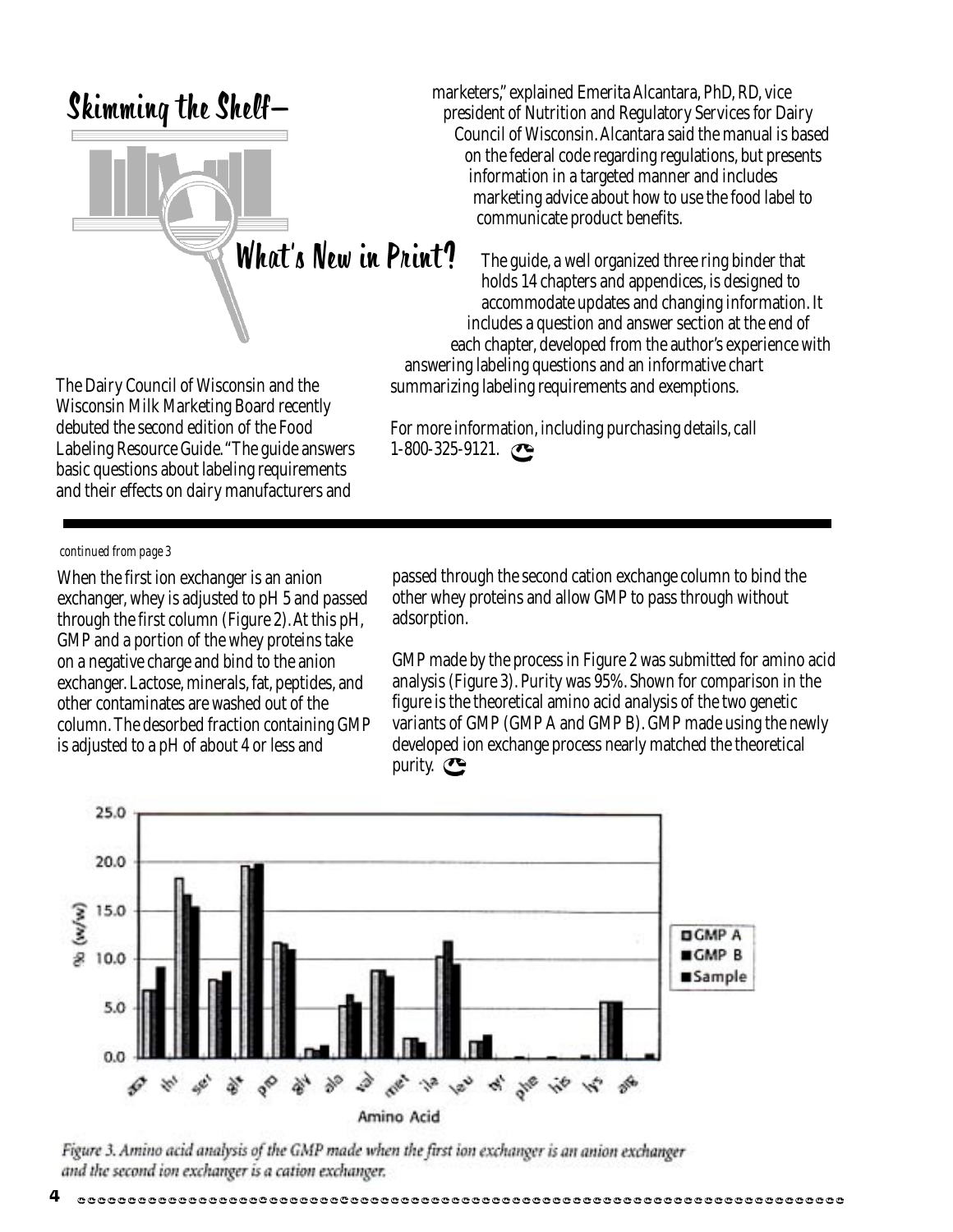### Skimming the Shelf—



The Dairy Council of Wisconsin and the Wisconsin Milk Marketing Board recently debuted the second edition of the Food Labeling Resource Guide. "The guide answers basic questions about labeling requirements and their effects on dairy manufacturers and

marketers," explained Emerita Alcantara, PhD, RD, vice president of Nutrition and Regulatory Services for Dairy Council of Wisconsin. Alcantara said the manual is based on the federal code regarding regulations, but presents information in a targeted manner and includes marketing advice about how to use the food label to communicate product benefits.

The guide, a well organized three ring binder that holds 14 chapters and appendices, is designed to accommodate updates and changing information. It includes a question and answer section at the end of each chapter, developed from the author's experience with answering labeling questions and an informative chart summarizing labeling requirements and exemptions.

For more information, including purchasing details, call 1-800-325-9121.

#### *continued from page 3*

When the first ion exchanger is an anion exchanger, whey is adjusted to pH 5 and passed through the first column (Figure 2). At this pH, GMP and a portion of the whey proteins take on a negative charge and bind to the anion exchanger. Lactose, minerals, fat, peptides, and other contaminates are washed out of the column. The desorbed fraction containing GMP is adjusted to a pH of about 4 or less and

passed through the second cation exchange column to bind the other whey proteins and allow GMP to pass through without adsorption.

GMP made by the process in Figure 2 was submitted for amino acid analysis (Figure 3). Purity was 95%. Shown for comparison in the figure is the theoretical amino acid analysis of the two genetic variants of GMP (GMP A and GMP B). GMP made using the newly developed ion exchange process nearly matched the theoretical purity.  $\bullet$ 



Figure 3. Amino acid analysis of the GMP made when the first ion exchanger is an anion exchanger and the second ion exchanger is a cation exchanger.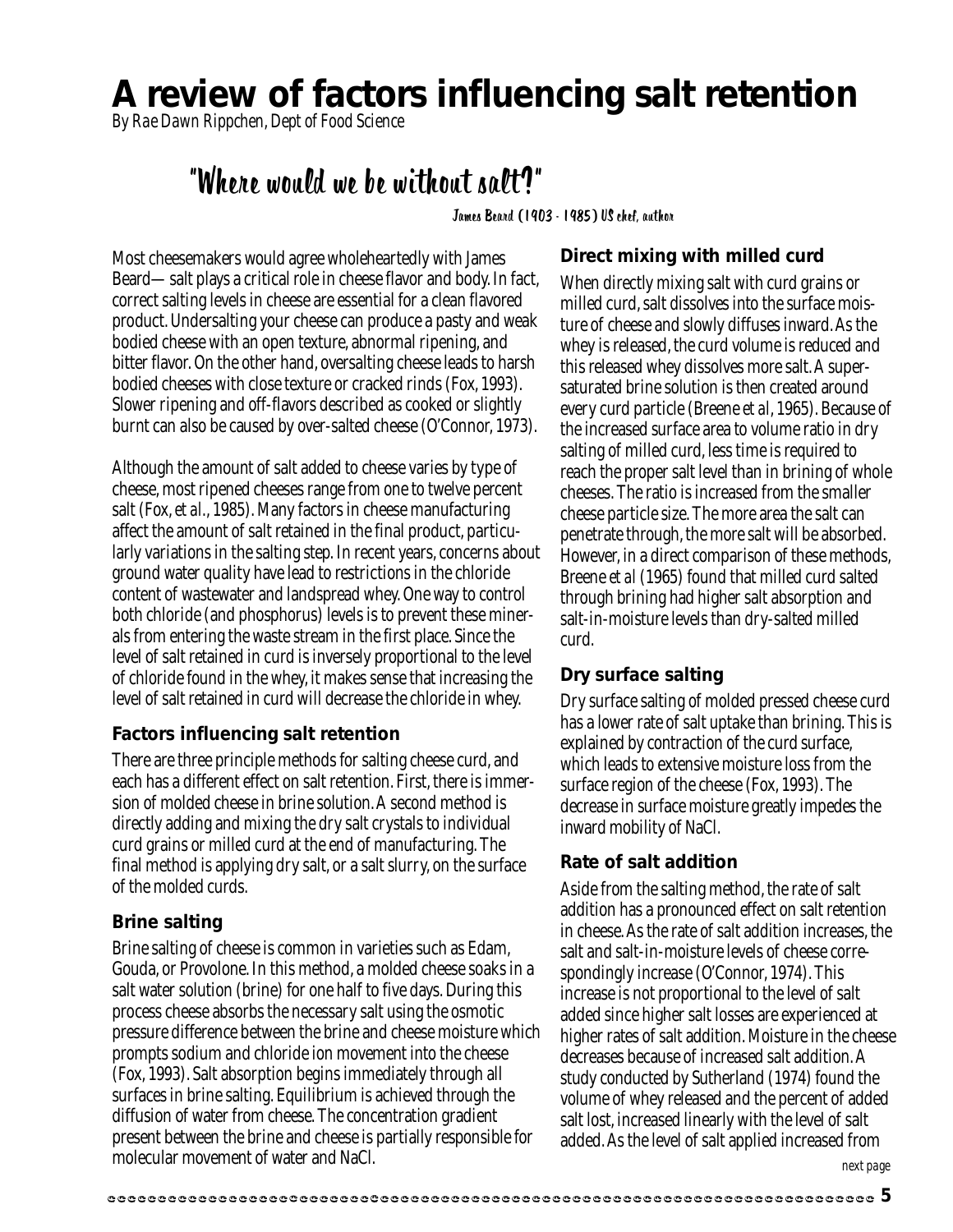## **A review of factors influencing salt retention**

*By Rae Dawn Rippchen, Dept of Food Science*

### "Where would we be without salt?"

James Beard (1903 - 1985) US chef, author

Most cheesemakers would agree wholeheartedly with James Beard—salt plays a critical role in cheese flavor and body. In fact, correct salting levels in cheese are essential for a clean flavored product. Undersalting your cheese can produce a pasty and weak bodied cheese with an open texture, abnormal ripening, and bitter flavor. On the other hand, oversalting cheese leads to harsh bodied cheeses with close texture or cracked rinds (Fox, 1993). Slower ripening and off-flavors described as cooked or slightly burnt can also be caused by over-salted cheese (O'Connor, 1973).

Although the amount of salt added to cheese varies by type of cheese, most ripened cheeses range from one to twelve percent salt (Fox, *et al*., 1985). Many factors in cheese manufacturing affect the amount of salt retained in the final product, particularly variations in the salting step. In recent years, concerns about ground water quality have lead to restrictions in the chloride content of wastewater and landspread whey. One way to control both chloride (and phosphorus) levels is to prevent these minerals from entering the waste stream in the first place. Since the level of salt retained in curd is inversely proportional to the level of chloride found in the whey, it makes sense that increasing the level of salt retained in curd will decrease the chloride in whey.

#### **Factors influencing salt retention**

There are three principle methods for salting cheese curd, and each has a different effect on salt retention. First, there is immersion of molded cheese in brine solution. A second method is directly adding and mixing the dry salt crystals to individual curd grains or milled curd at the end of manufacturing. The final method is applying dry salt, or a salt slurry, on the surface of the molded curds.

#### **Brine salting**

Brine salting of cheese is common in varieties such as Edam, Gouda, or Provolone. In this method, a molded cheese soaks in a salt water solution (brine) for one half to five days. During this process cheese absorbs the necessary salt using the osmotic pressure difference between the brine and cheese moisture which prompts sodium and chloride ion movement into the cheese (Fox, 1993). Salt absorption begins immediately through all surfaces in brine salting. Equilibrium is achieved through the diffusion of water from cheese. The concentration gradient present between the brine and cheese is partially responsible for molecular movement of water and NaCl.

#### **Direct mixing with milled curd**

When directly mixing salt with curd grains or milled curd, salt dissolves into the surface moisture of cheese and slowly diffuses inward. As the whey is released, the curd volume is reduced and this released whey dissolves more salt. A supersaturated brine solution is then created around every curd particle (Breene *et al*, 1965). Because of the increased surface area to volume ratio in dry salting of milled curd, less time is required to reach the proper salt level than in brining of whole cheeses. The ratio is increased from the smaller cheese particle size. The more area the salt can penetrate through, the more salt will be absorbed. However, in a direct comparison of these methods, Breene *et al* (1965) found that milled curd salted through brining had higher salt absorption and salt-in-moisture levels than dry-salted milled curd.

#### **Dry surface salting**

Dry surface salting of molded pressed cheese curd has a lower rate of salt uptake than brining. This is explained by contraction of the curd surface, which leads to extensive moisture loss from the surface region of the cheese (Fox, 1993). The decrease in surface moisture greatly impedes the inward mobility of NaCl.

#### **Rate of salt addition**

Aside from the salting method, the rate of salt addition has a pronounced effect on salt retention in cheese. As the rate of salt addition increases, the salt and salt-in-moisture levels of cheese correspondingly increase (O'Connor, 1974). This increase is not proportional to the level of salt added since higher salt losses are experienced at higher rates of salt addition. Moisture in the cheese decreases because of increased salt addition. A study conducted by Sutherland (1974) found the volume of whey released and the percent of added salt lost, increased linearly with the level of salt added. As the level of salt applied increased from

*next page*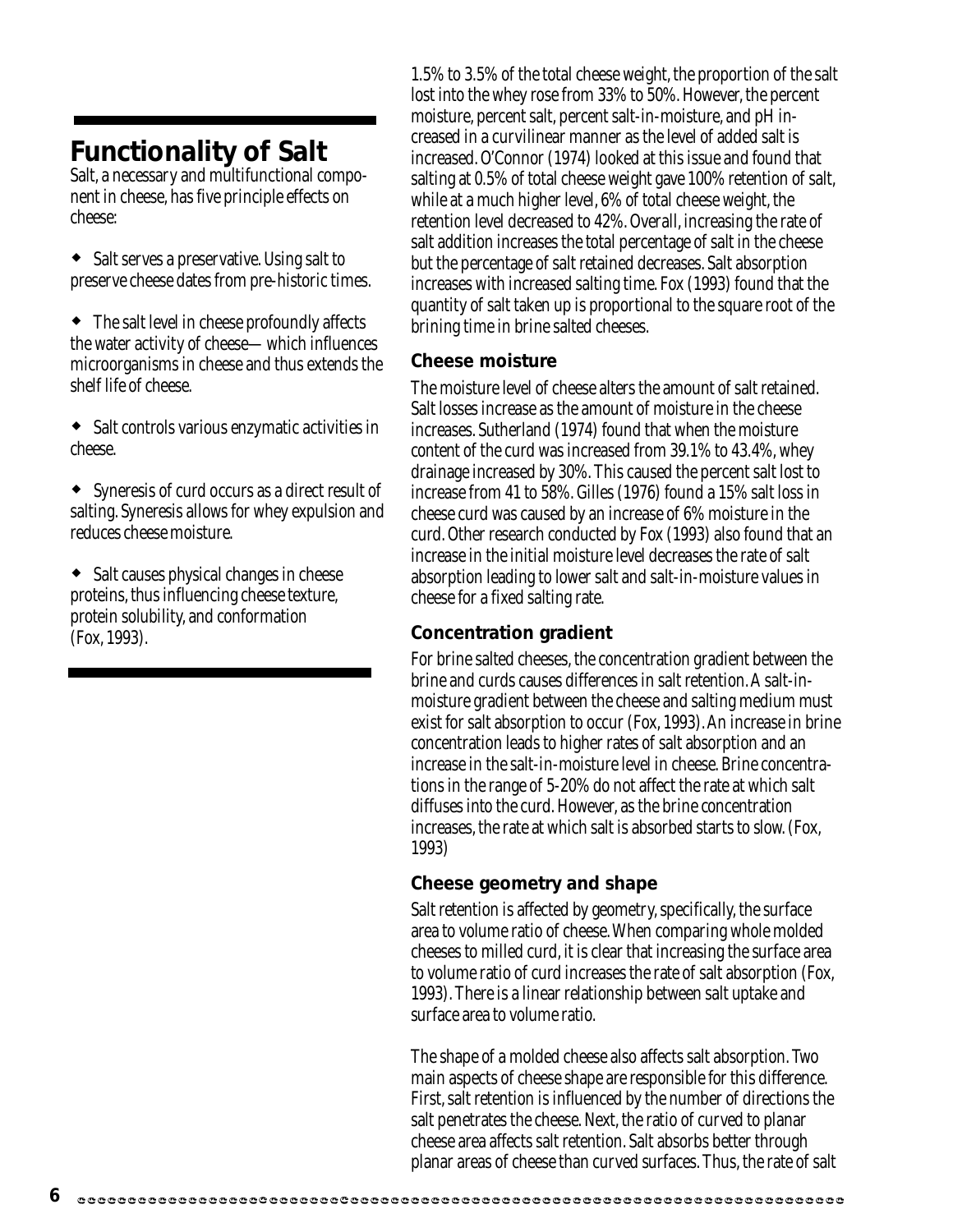### **Functionality of Salt**

Salt, a necessary and multifunctional component in cheese, has five principle effects on cheese:

• Salt serves a preservative. Using salt to preserve cheese dates from pre-historic times.

 The salt level in cheese profoundly affects the water activity of cheese—which influences microorganisms in cheese and thus extends the shelf life of cheese.

 Salt controls various enzymatic activities in cheese.

 Syneresis of curd occurs as a direct result of salting. Syneresis allows for whey expulsion and reduces cheese moisture.

 Salt causes physical changes in cheese proteins, thus influencing cheese texture, protein solubility, and conformation (Fox, 1993).

1.5% to 3.5% of the total cheese weight, the proportion of the salt lost into the whey rose from 33% to 50%. However, the percent moisture, percent salt, percent salt-in-moisture, and pH increased in a curvilinear manner as the level of added salt is increased. O'Connor (1974) looked at this issue and found that salting at 0.5% of total cheese weight gave 100% retention of salt, while at a much higher level, 6% of total cheese weight, the retention level decreased to 42%. Overall, increasing the rate of salt addition increases the total percentage of salt in the cheese but the percentage of salt retained decreases. Salt absorption increases with increased salting time. Fox (1993) found that the quantity of salt taken up is proportional to the square root of the brining time in brine salted cheeses.

#### **Cheese moisture**

The moisture level of cheese alters the amount of salt retained. Salt losses increase as the amount of moisture in the cheese increases. Sutherland (1974) found that when the moisture content of the curd was increased from 39.1% to 43.4%, whey drainage increased by 30%. This caused the percent salt lost to increase from 41 to 58%. Gilles (1976) found a 15% salt loss in cheese curd was caused by an increase of 6% moisture in the curd. Other research conducted by Fox (1993) also found that an increase in the initial moisture level decreases the rate of salt absorption leading to lower salt and salt-in-moisture values in cheese for a fixed salting rate.

#### **Concentration gradient**

For brine salted cheeses, the concentration gradient between the brine and curds causes differences in salt retention. A salt-inmoisture gradient between the cheese and salting medium must exist for salt absorption to occur (Fox, 1993). An increase in brine concentration leads to higher rates of salt absorption and an increase in the salt-in-moisture level in cheese. Brine concentrations in the range of 5-20% do not affect the rate at which salt diffuses into the curd. However, as the brine concentration increases, the rate at which salt is absorbed starts to slow. (Fox, 1993)

#### **Cheese geometry and shape**

Salt retention is affected by geometry, specifically, the surface area to volume ratio of cheese. When comparing whole molded cheeses to milled curd, it is clear that increasing the surface area to volume ratio of curd increases the rate of salt absorption (Fox, 1993). There is a linear relationship between salt uptake and surface area to volume ratio.

The shape of a molded cheese also affects salt absorption. Two main aspects of cheese shape are responsible for this difference. First, salt retention is influenced by the number of directions the salt penetrates the cheese. Next, the ratio of curved to planar cheese area affects salt retention. Salt absorbs better through planar areas of cheese than curved surfaces. Thus, the rate of salt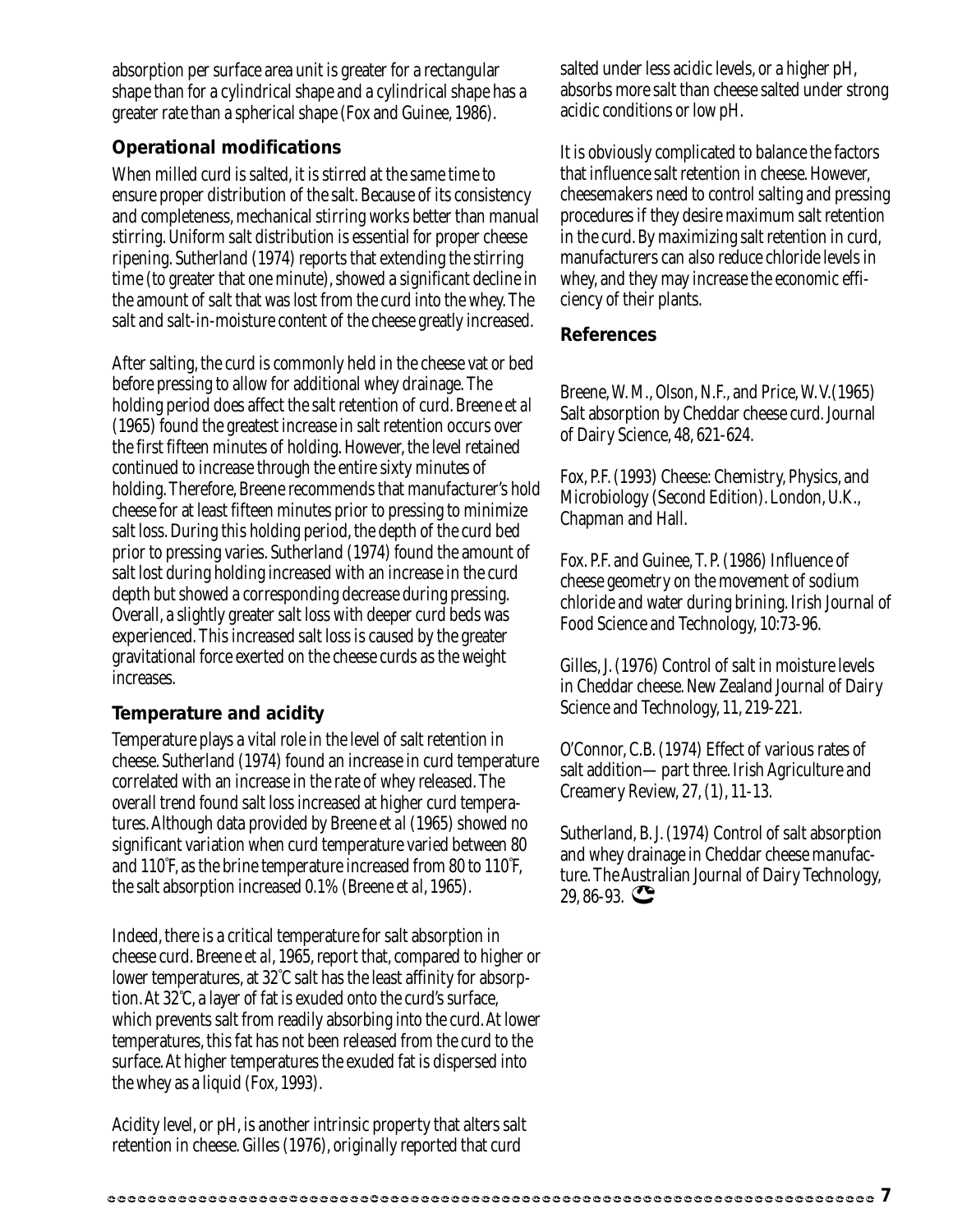absorption per surface area unit is greater for a rectangular shape than for a cylindrical shape and a cylindrical shape has a greater rate than a spherical shape (Fox and Guinee, 1986).

#### **Operational modifications**

When milled curd is salted, it is stirred at the same time to ensure proper distribution of the salt. Because of its consistency and completeness, mechanical stirring works better than manual stirring. Uniform salt distribution is essential for proper cheese ripening. Sutherland (1974) reports that extending the stirring time (to greater that one minute), showed a significant decline in the amount of salt that was lost from the curd into the whey. The salt and salt-in-moisture content of the cheese greatly increased.

After salting, the curd is commonly held in the cheese vat or bed before pressing to allow for additional whey drainage. The holding period does affect the salt retention of curd. Breene *et al* (1965) found the greatest increase in salt retention occurs over the first fifteen minutes of holding. However, the level retained continued to increase through the entire sixty minutes of holding. Therefore, Breene recommends that manufacturer's hold cheese for at least fifteen minutes prior to pressing to minimize salt loss. During this holding period, the depth of the curd bed prior to pressing varies. Sutherland (1974) found the amount of salt lost during holding increased with an increase in the curd depth but showed a corresponding decrease during pressing. Overall, a slightly greater salt loss with deeper curd beds was experienced. This increased salt loss is caused by the greater gravitational force exerted on the cheese curds as the weight increases.

#### **Temperature and acidity**

Temperature plays a vital role in the level of salt retention in cheese. Sutherland (1974) found an increase in curd temperature correlated with an increase in the rate of whey released. The overall trend found salt loss increased at higher curd temperatures. Although data provided by Breene *et al* (1965) showed no significant variation when curd temperature varied between 80 and 110° F, as the brine temperature increased from 80 to 110° F, the salt absorption increased 0.1% (Breene *et al*, 1965).

Indeed, there is a critical temperature for salt absorption in cheese curd. Breene *et al*, 1965, report that, compared to higher or lower temperatures, at 32° C salt has the least affinity for absorption. At 32° C, a layer of fat is exuded onto the curd's surface, which prevents salt from readily absorbing into the curd. At lower temperatures, this fat has not been released from the curd to the surface. At higher temperatures the exuded fat is dispersed into the whey as a liquid (Fox, 1993).

Acidity level, or pH, is another intrinsic property that alters salt retention in cheese. Gilles (1976), originally reported that curd

salted under less acidic levels, or a higher pH, absorbs more salt than cheese salted under strong acidic conditions or low pH.

It is obviously complicated to balance the factors that influence salt retention in cheese. However, cheesemakers need to control salting and pressing procedures if they desire maximum salt retention in the curd. By maximizing salt retention in curd, manufacturers can also reduce chloride levels in whey, and they may increase the economic efficiency of their plants.

#### **References**

Breene, W. M., Olson, N.F., and Price, W. V.(1965) Salt absorption by Cheddar cheese curd. Journal of Dairy Science, 48, 621-624.

Fox, P.F. (1993) Cheese: Chemistry, Physics, and Microbiology (Second Edition). London, U.K., Chapman and Hall.

Fox. P.F. and Guinee, T. P. (1986) Influence of cheese geometry on the movement of sodium chloride and water during brining. Irish Journal of Food Science and Technology, 10:73-96.

Gilles, J. (1976) Control of salt in moisture levels in Cheddar cheese. New Zealand Journal of Dairy Science and Technology, 11, 219-221.

O'Connor, C.B. (1974) Effect of various rates of salt addition—part three. Irish Agriculture and Creamery Review, 27, (1), 11-13.

Sutherland, B. J. (1974) Control of salt absorption and whey drainage in Cheddar cheese manufacture. The Australian Journal of Dairy Technology,  $29,86-93.$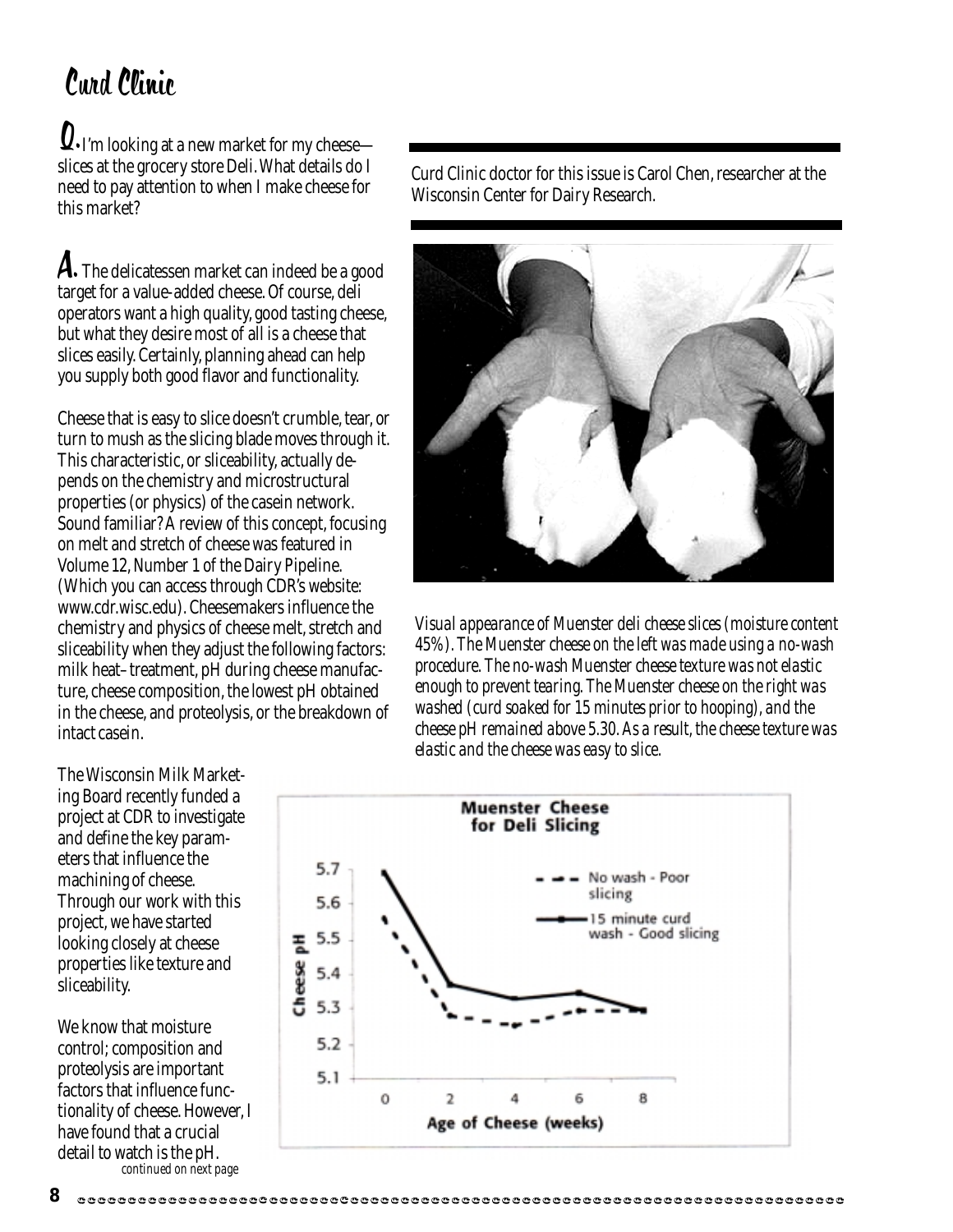# Curd Clinic

 $\boldsymbol{0}.$  I'm looking at a new market for my cheese slices at the grocery store Deli. What details do I need to pay attention to when I make cheese for this market?

 ${\boldsymbol{\mathsf{A}}}.\,$  The delicatessen market can indeed be a good target for a value-added cheese. Of course, deli operators want a high quality, good tasting cheese, but what they desire most of all is a cheese that slices easily. Certainly, planning ahead can help you supply both good flavor and functionality.

Cheese that is easy to slice doesn't crumble, tear, or turn to mush as the slicing blade moves through it. This characteristic, or sliceability, actually depends on the chemistry and microstructural properties (or physics) of the casein network. Sound familiar? A review of this concept, focusing on melt and stretch of cheese was featured in Volume 12, Number 1 of the Dairy Pipeline. (Which you can access through CDR's website: www.cdr.wisc.edu). Cheesemakers influence the chemistry and physics of cheese melt, stretch and sliceability when they adjust the following factors: milk heat–treatment, pH during cheese manufacture, cheese composition, the lowest pH obtained in the cheese, and proteolysis, or the breakdown of intact casein.

The Wisconsin Milk Marketing Board recently funded a project at CDR to investigate and define the key parameters that influence the machining of cheese. Through our work with this project, we have started looking closely at cheese properties like texture and sliceability.

We know that moisture control; composition and proteolysis are important factors that influence functionality of cheese. However, I have found that a crucial detail to watch is the pH. *continued on next page*

Curd Clinic doctor for this issue is Carol Chen, researcher at the Wisconsin Center for Dairy Research.



*Visual appearance of Muenster deli cheese slices (moisture content 45%). The Muenster cheese on the left was made using a no-wash procedure. The no-wash Muenster cheese texture was not elastic enough to prevent tearing. The Muenster cheese on the right was washed (curd soaked for 15 minutes prior to hooping), and the cheese pH remained above 5.30. As a result, the cheese texture was elastic and the cheese was easy to slice.*

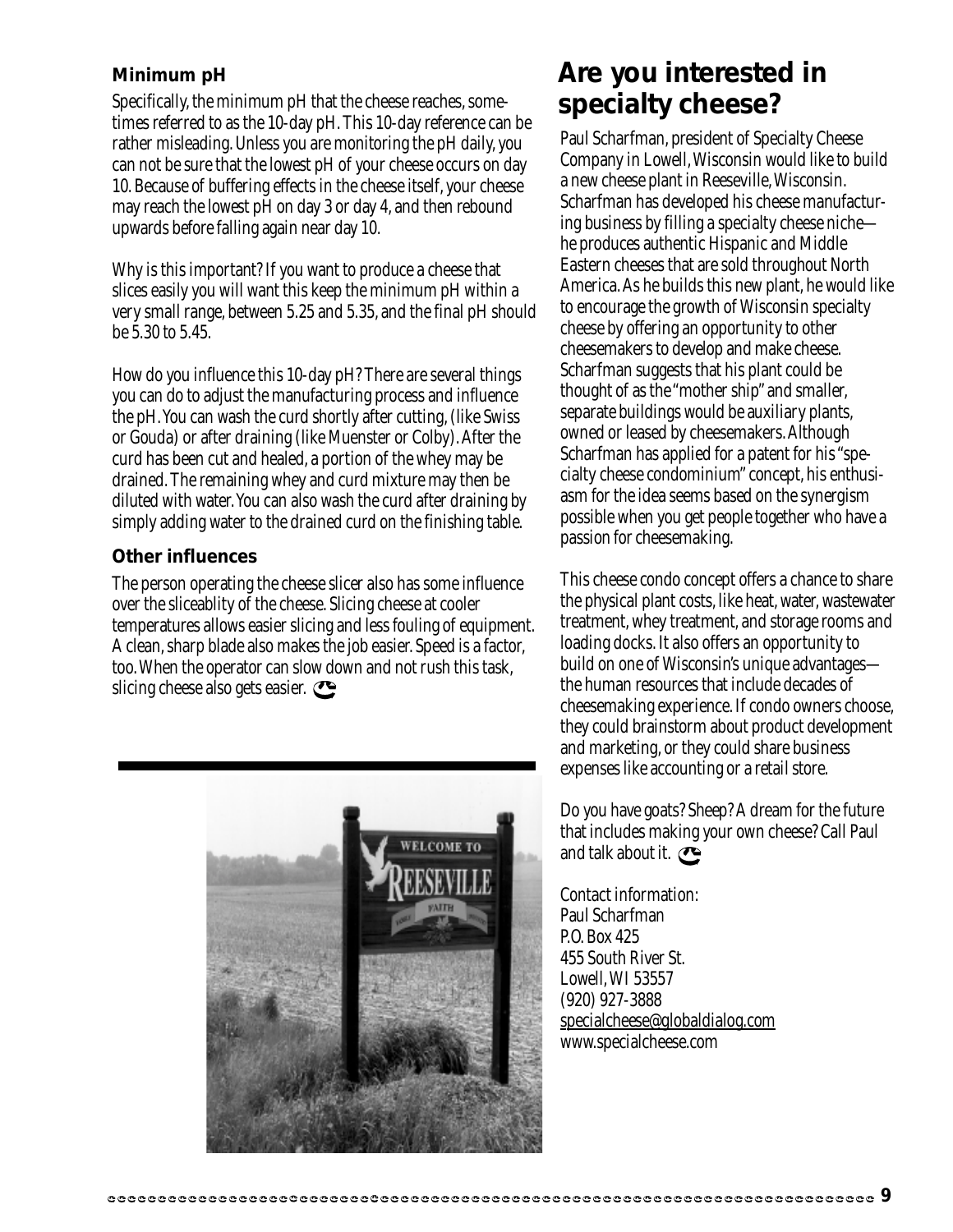#### **Minimum pH**

Specifically, the minimum pH that the cheese reaches, sometimes referred to as the 10-day pH. This 10-day reference can be rather misleading. Unless you are monitoring the pH daily, you can not be sure that the lowest pH of your cheese occurs on day 10. Because of buffering effects in the cheese itself, your cheese may reach the lowest pH on day 3 or day 4, and then rebound upwards before falling again near day 10.

Why is this important? If you want to produce a cheese that slices easily you will want this keep the minimum pH within a very small range, between 5.25 and 5.35, and the final pH should be 5.30 to 5.45.

How do you influence this 10-day pH? There are several things you can do to adjust the manufacturing process and influence the pH. You can wash the curd shortly after cutting, (like Swiss or Gouda) or after draining (like Muenster or Colby). After the curd has been cut and healed, a portion of the whey may be drained. The remaining whey and curd mixture may then be diluted with water. You can also wash the curd after draining by simply adding water to the drained curd on the finishing table.

#### **Other influences**

The person operating the cheese slicer also has some influence over the sliceablity of the cheese. Slicing cheese at cooler temperatures allows easier slicing and less fouling of equipment. A clean, sharp blade also makes the job easier. Speed is a factor, too. When the operator can slow down and not rush this task, slicing cheese also gets easier.



### **Are you interested in specialty cheese?**

Paul Scharfman, president of Specialty Cheese Company in Lowell, Wisconsin would like to build a new cheese plant in Reeseville, Wisconsin. Scharfman has developed his cheese manufacturing business by filling a specialty cheese niche he produces authentic Hispanic and Middle Eastern cheeses that are sold throughout North America. As he builds this new plant, he would like to encourage the growth of Wisconsin specialty cheese by offering an opportunity to other cheesemakers to develop and make cheese. Scharfman suggests that his plant could be thought of as the "mother ship" and smaller, separate buildings would be auxiliary plants, owned or leased by cheesemakers. Although Scharfman has applied for a patent for his "specialty cheese condominium" concept, his enthusiasm for the idea seems based on the synergism possible when you get people together who have a passion for cheesemaking.

This cheese condo concept offers a chance to share the physical plant costs, like heat, water, wastewater treatment, whey treatment, and storage rooms and loading docks. It also offers an opportunity to build on one of Wisconsin's unique advantages the human resources that include decades of cheesemaking experience. If condo owners choose, they could brainstorm about product development and marketing, or they could share business expenses like accounting or a retail store.

Do you have goats? Sheep? A dream for the future that includes making your own cheese? Call Paul and talk about it.

Contact information: Paul Scharfman P.O. Box 425 455 South River St. Lowell, WI 53557 (920) 927-3888 specialcheese@globaldialog.com www.specialcheese.com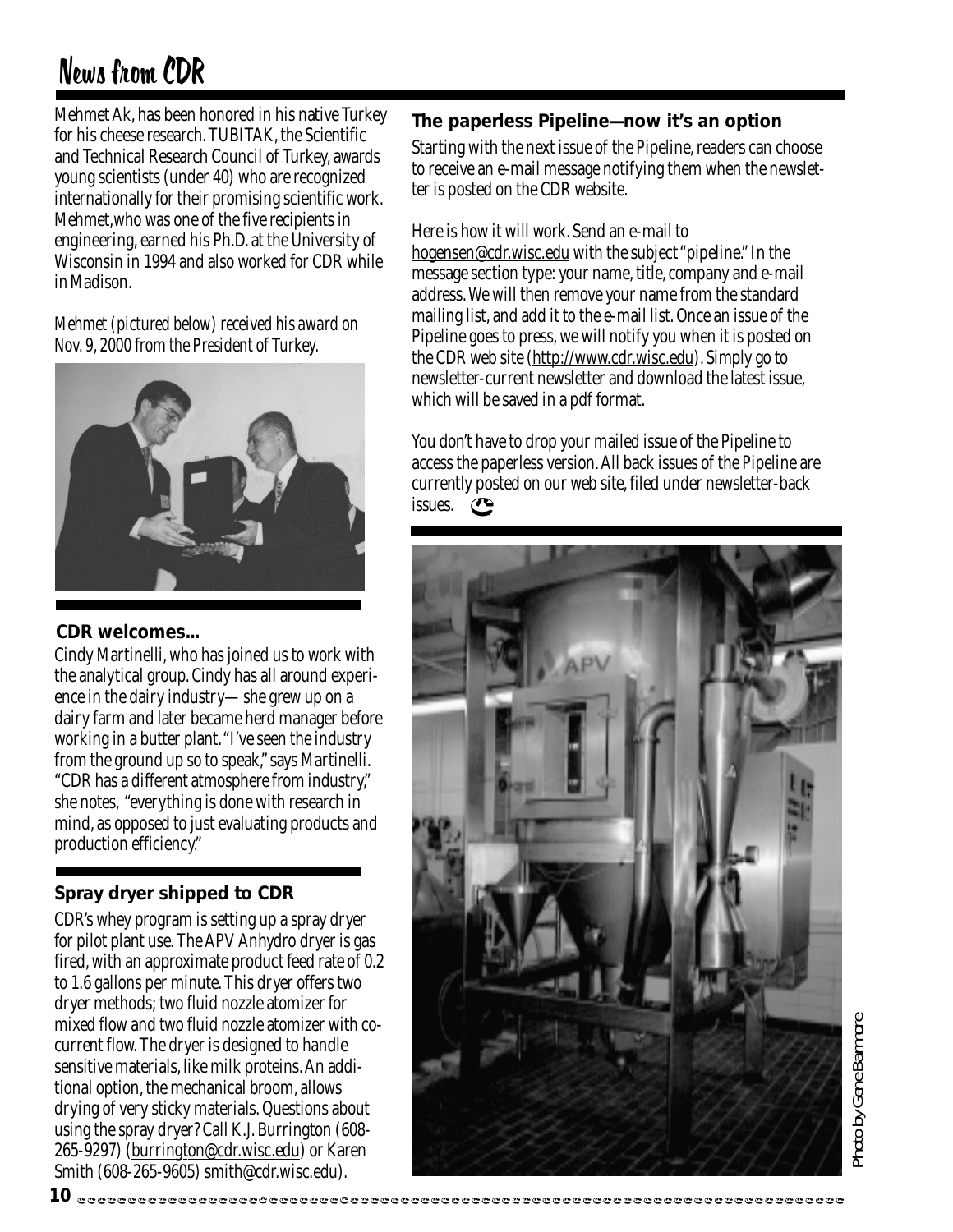# News from CDR

Mehmet Ak, has been honored in his native Turkey for his cheese research. TUBITAK, the Scientific and Technical Research Council of Turkey, awards young scientists (under 40) who are recognized internationally for their promising scientific work. Mehmet,who was one of the five recipients in engineering, earned his Ph.D. at the University of Wisconsin in 1994 and also worked for CDR while in Madison.

*Mehmet (pictured below) received his award on Nov. 9, 2000 from the President of Turkey.*



#### **CDR welcomes...**

Cindy Martinelli, who has joined us to work with the analytical group. Cindy has all around experience in the dairy industry—she grew up on a dairy farm and later became herd manager before working in a butter plant. "I've seen the industry from the ground up so to speak," says Martinelli. "CDR has a different atmosphere from industry," she notes, "everything is done with research in mind, as opposed to just evaluating products and production efficiency."

#### **Spray dryer shipped to CDR**

CDR's whey program is setting up a spray dryer for pilot plant use. The APV Anhydro dryer is gas fired, with an approximate product feed rate of 0.2 to 1.6 gallons per minute. This dryer offers two dryer methods; two fluid nozzle atomizer for mixed flow and two fluid nozzle atomizer with cocurrent flow. The dryer is designed to handle sensitive materials, like milk proteins. An additional option, the mechanical broom, allows drying of very sticky materials. Questions about using the spray dryer? Call K.J. Burrington (608- 265-9297) (burrington@cdr.wisc.edu) or Karen Smith (608-265-9605) smith@cdr.wisc.edu).

#### **The paperless Pipeline—now it's an option**

Starting with the next issue of the Pipeline, readers can choose to receive an e-mail message notifying them when the newsletter is posted on the CDR website.

Here is how it will work. Send an e-mail to hogensen@cdr.wisc.edu with the subject "pipeline." In the message section type: your name, title, company and e-mail address. We will then remove your name from the standard mailing list, and add it to the e-mail list. Once an issue of the Pipeline goes to press, we will notify you when it is posted on the CDR web site (http://www.cdr.wisc.edu). Simply go to newsletter-current newsletter and download the latest issue, which will be saved in a pdf format.

You don't have to drop your mailed issue of the Pipeline to access the paperless version. All back issues of the Pipeline are currently posted on our web site, filed under newsletter-back issues.

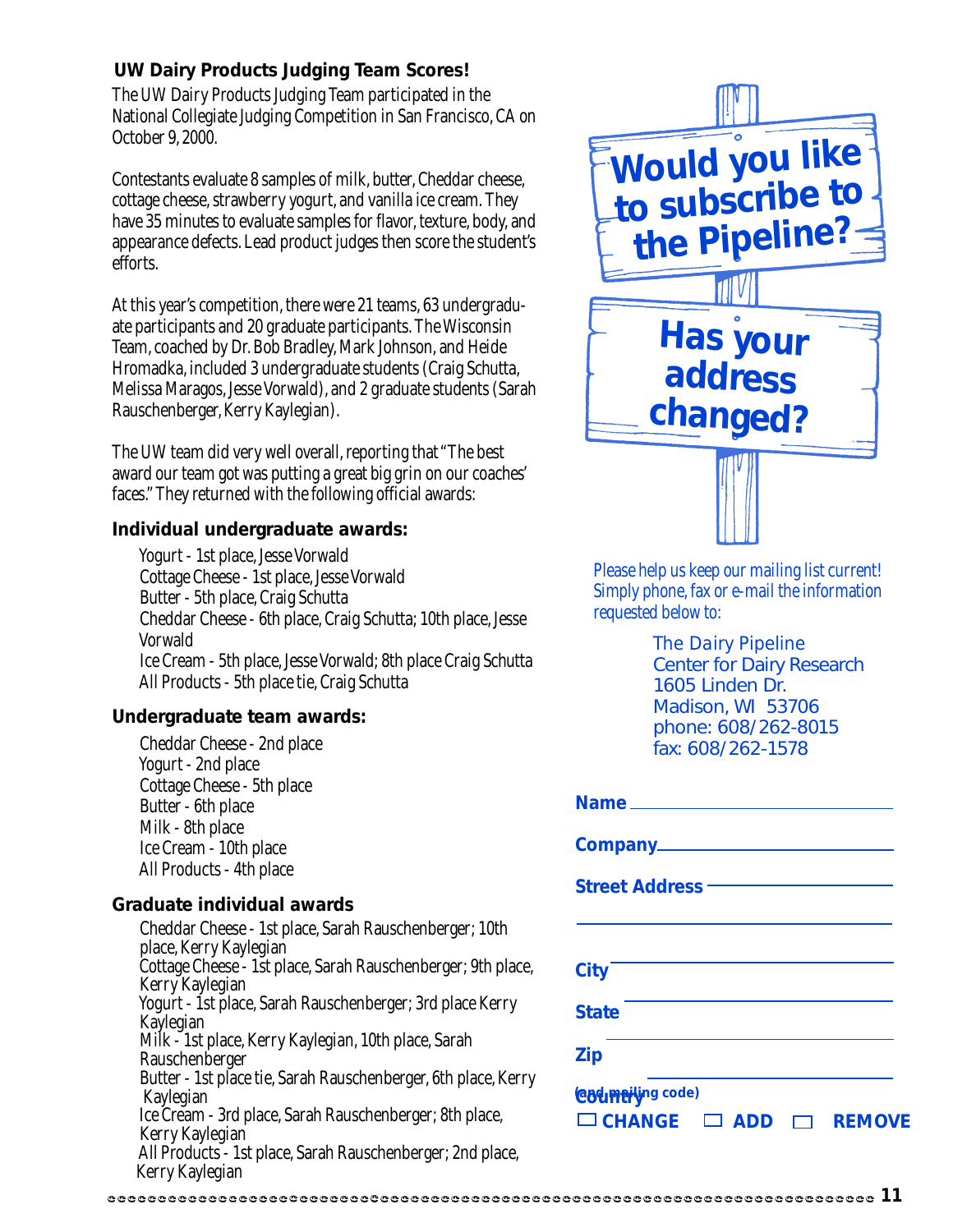#### **UW Dairy Products Judging Team Scores!**

The UW Dairy Products Judging Team participated in the National Collegiate Judging Competition in San Francisco, CA on October 9, 2000.

Contestants evaluate 8 samples of milk, butter, Cheddar cheese, cottage cheese, strawberry yogurt, and vanilla ice cream. They have 35 minutes to evaluate samples for flavor, texture, body, and appearance defects. Lead product judges then score the student's efforts.

At this year's competition, there were 21 teams, 63 undergraduate participants and 20 graduate participants. The Wisconsin Team, coached by Dr. Bob Bradley, Mark Johnson, and Heide Hromadka, included 3 undergraduate students (Craig Schutta, Melissa Maragos, Jesse Vorwald), and 2 graduate students (Sarah Rauschenberger, Kerry Kaylegian).

The UW team did very well overall, reporting that "The best award our team got was putting a great big grin on our coaches' faces." They returned with the following official awards:

#### **Individual undergraduate awards:**

 Yogurt - 1st place, Jesse Vorwald Cottage Cheese - 1st place, Jesse Vorwald Butter - 5th place, Craig Schutta Cheddar Cheese - 6th place, Craig Schutta; 10th place, Jesse Vorwald Ice Cream - 5th place, Jesse Vorwald; 8th place Craig Schutta All Products - 5th place tie, Craig Schutta

#### **Undergraduate team awards:**

 Cheddar Cheese - 2nd place Yogurt - 2nd place Cottage Cheese - 5th place Butter - 6th place Milk - 8th place Ice Cream - 10th place All Products - 4th place

#### **Graduate individual awards**

 Cheddar Cheese - 1st place, Sarah Rauschenberger; 10th place, Kerry Kaylegian Cottage Cheese - 1st place, Sarah Rauschenberger; 9th place, Kerry Kaylegian Yogurt - 1st place, Sarah Rauschenberger; 3rd place Kerry Kaylegian Milk - 1st place, Kerry Kaylegian, 10th place, Sarah Rauschenberger Butter - 1st place tie, Sarah Rauschenberger, 6th place, Kerry Kaylegian Ice Cream - 3rd place, Sarah Rauschenberger; 8th place, Kerry Kaylegian All Products - 1st place, Sarah Rauschenberger; 2nd place, Kerry Kaylegian



Please help us keep our mailing list current! Simply phone, fax or e-mail the information requested below to:

> *The Dairy Pipeline* Center for Dairy Research 1605 Linden Dr. Madison, WI 53706 phone: 608/262-8015 fax: 608/262-1578

| <b>Street Address –––––</b>                                                   |
|-------------------------------------------------------------------------------|
|                                                                               |
| <b>City</b>                                                                   |
| <b>State</b>                                                                  |
| <b>Zip</b>                                                                    |
| <b>Codmation</b> code)<br>$\Box$ CHANGE $\Box$ ADD<br><b>REMOVE</b><br>$\Box$ |

#### **11**